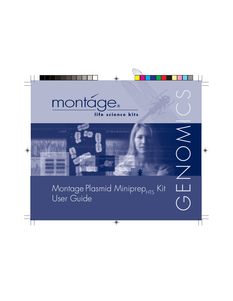



Montage Plasmid Miniprep<sub>HTS</sub> Kit User Guide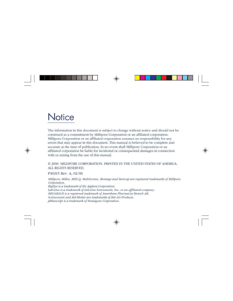## **Notice**

The information in this document is subject to change without notice and should not be construed as a commitment by Millipore Corporation or an affiliated corporation. Millipore Corporation or an affiliated corporation assumes no responsibility for any errors that may appear in this document. This manual is believed to be complete and accurate at the time of publication. In no event shall Millipore Corporation or an affiliated corporation be liable for incidental or consequential damages in connection with or arising from the use of this manual.

#### © 2006 MILLIPORE CORPORATION. PRINTED IN THE UNITED STATES OF AMERICA. ALL RIGHTS RESERVED.

P36315 Rev. A, 02/06

*Millipore, Millex, Milli-Q, MultiScreen, Montage and Stericup are registered trademarks of Millipore Corporation. BigDye is a trademark of the Applera Corporation. Lab-Line is a trademark of Lab-Line Instruments, Inc. or an affiliated company. MEGABACE is a registered trademark of Amersham Pharmacia Biotech AB. Scienceware and Bel-Blotter are trademarks of Bel-Art Products. pBluescript is a trademark of Stratagene Corporation.*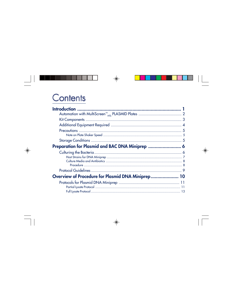## Contents

| Overview of Procedure for Plasmid DNA Miniprep 10 |  |
|---------------------------------------------------|--|
|                                                   |  |
|                                                   |  |
|                                                   |  |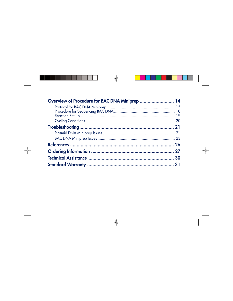| Overview of Procedure for BAC DNA Miniprep  14 |  |
|------------------------------------------------|--|
|                                                |  |
|                                                |  |
|                                                |  |
|                                                |  |
|                                                |  |
|                                                |  |
|                                                |  |
|                                                |  |
|                                                |  |
|                                                |  |
|                                                |  |
|                                                |  |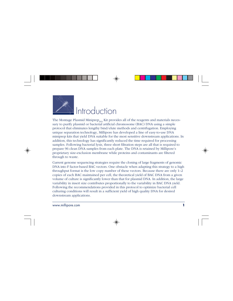

The Montage Plasmid Miniprep $_{\text{HTS}}$  Kit provides all of the reagents and materials necessary to purify plasmid or bacterial artificial chromosome (BAC) DNA using a simple protocol that eliminates lengthy bind/elute methods and centrifugation. Employing unique separation technology, Millipore has developed a line of easy-to-use DNA miniprep kits that yield DNA suitable for the most sensitive downstream applications. In addition, this technology has significantly reduced the time required for processing samples. Following bacterial lysis, three short filtration steps are all that is required to prepare 96 clean DNA samples from each plate. The DNA is retained by Millipore's proprietary size-exclusion membrane while proteins and contaminants are filtered through to waste.

Current genome sequencing strategies require the cloning of large fragments of genomic DNA into F factor-based BAC vectors. One obstacle when adapting this strategy to a high throughput format is the low copy number of these vectors. Because there are only 1–2 copies of each BAC maintained per cell, the theoretical yield of BAC DNA from a given volume of culture is significantly lower than that for plasmid DNA. In addition, the large variability in insert size contributes proportionally to the variability in BAC DNA yield. Following the recommendations provided in this protocol to optimize bacterial cell culturing conditions will result in a sufficient yield of high quality DNA for desired downstream applications.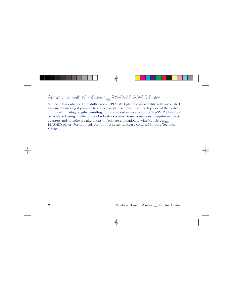## Automation with MultiScreen $_{\text{HTC}}$  96-Well PLASMID Plates

Millipore has enhanced the MultiScreen<sub>urs</sub> PLASMID plate's compatibility with automated systems by making it possible to collect purified samples from the top side of the plates and by eliminating lengthy centrifugation steps. Automation with the PLASMID plate can be achieved using a wide range of robotics systems. Some systems may require manifold adapters and/or software alterations to facilitate compatibility with MultiScreen $_{\text{tr}}$ PLASMID plates. For protocols for robotics systems, please contact Millipore Technical Service.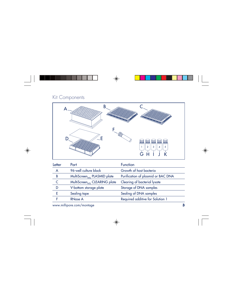## Kit Components



| Letter | Part                                      | <b>Function</b>                    |
|--------|-------------------------------------------|------------------------------------|
| A      | 96-well culture block                     | Growth of host bacteria            |
| B      | MultiScreen <sub>HTS</sub> PLASMID plate  | Purification of plasmid or BAC DNA |
| Ċ      | MultiScreen <sub>HTS</sub> CLEARING plate | Clearing of bacterial lysate       |
| D      | V-bottom storage plate                    | Storage of DNA samples             |
| E      | Sealing tape                              | Sealing of DNA samples             |
| Е      | RNase A                                   | Required additive for Solution 1   |
|        |                                           |                                    |

www.millipore.com/montage **3**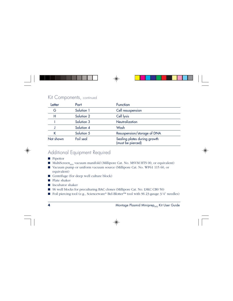## Kit Components, continued

| Letter    | Part       | <b>Function</b>                                   |
|-----------|------------|---------------------------------------------------|
| G         | Solution 1 | Cell resuspension                                 |
| н         | Solution 2 | Cell lysis                                        |
|           | Solution 3 | Neutralization                                    |
|           | Solution 4 | Wash                                              |
|           | Solution 5 | Resuspension/storage of DNA                       |
| Not shown | Foil seal  | Sealing plates during growth<br>(must be pierced) |

## Additional Equipment Required

- Pipettor
- $\blacksquare$  MultiScreen<sub>try</sub> vacuum manifold (Millipore Cat. No. MSVM HTS 00, or equivalent)
- Vacuum pump or uniform vacuum source (Millipore Cat. No. WP61 115 60, or equivalent)
- Centrifuge (for deep well culture block)
- Plate shaker
- Incubator shaker
- 96 well blocks for preculturing BAC clones (Millipore Cat. No. LSKC CB0 50)
- Foil piercing tool (e.g., Scienceware® Bel-Blotter™ tool with 96 23-gauge  $3/4$ " needles)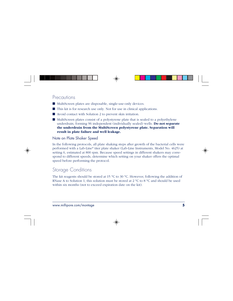### **Precautions**

- MultiScreen plates are disposable, single-use-only devices.
- This kit is for research use only. Not for use in clinical applications.
- Avoid contact with Solution 2 to prevent skin irritation.
- MultiScreen plates consist of a polystyrene plate that is sealed to a polyethylene underdrain, forming 96 independent (individually sealed) wells. **Do not separate the underdrain from the MultiScreen polystyrene plate. Separation will result in plate failure and well leakage.**

#### Note on Plate Shaker Speed

In the following protocols, all plate shaking steps after growth of the bacterial cells were performed with a Lab-Line® titer plate shaker (Lab-Line Instruments, Model No. 4625) at setting 6, estimated at 800 rpm. Because speed settings in different shakers may correspond to different speeds, determine which setting on your shaker offers the optimal speed before performing the protocol.

## Storage Conditions

The kit reagents should be stored at 15  $\degree$ C to 30  $\degree$ C. However, following the addition of RNase A to Solution 1, this solution must be stored at  $2^{\circ}$ C to  $8^{\circ}$ C and should be used within six months (not to exceed expiration date on the kit).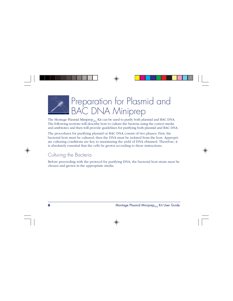

## Preparation for Plasmid and BAC DNA Miniprep

The Montage Plasmid Miniprep $_{\text{HTS}}$  Kit can be used to purify both plasmid and BAC DNA. The following sections will describe how to culture the bacteria using the correct media and antibiotics and then will provide guidelines for purifying both plasmid and BAC DNA.

The procedures for purifying plasmid or BAC DNA consist of two phases: First, the bacterial host must be cultured; then the DNA must be isolated from the host. Appropriate culturing conditions are key to maximizing the yield of DNA obtained. Therefore, it is absolutely essential that the cells be grown according to these instructions.

## Culturing the Bacteria

Before proceeding with the protocol for purifying DNA, the bacterial host strain must be chosen and grown in the appropriate media.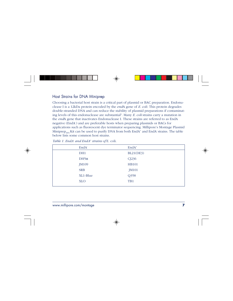### Host Strains for DNA Miniprep

Choosing a bacterial host strain is a critical part of plasmid or BAC preparation. Endonuclease I is a 12kDa protein encoded by the *end*A gene of *E. coli.* This protein degrades double-stranded DNA and can reduce the stability of plasmid preparations if contaminating levels of this endonuclease are substantial<sup>1</sup>. Many *E. coli* strains carry a mutation in the *end*A gene that inactivates Endonuclease I. These strains are referred to as EndA negative (EndA- ) and are preferable hosts when preparing plasmids or BACs for applications such as fluorescent dye terminator sequencing. Millipore's Montage Plasmid Miniprep<sub>HTS</sub> Kit can be used to purify DNA from both EndA<sup>+</sup> and EndA- strains. The table below lists some common host strains.

| EndA <sup>-</sup> | $EndA+$          |
|-------------------|------------------|
| DH1               | <b>BL21(DE3)</b> |
| $DH5\alpha$       | CJ236            |
| JM109             | HB101            |
| <b>SRB</b>        | JM101            |
| XL1-Blue          | Q358             |
| <b>XLO</b>        | TB1              |
|                   |                  |

Table 1. EndA<sup>-</sup> and EndA<sup>+</sup> strains of E. coli.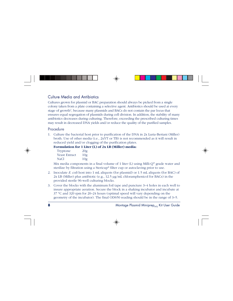### Culture Media and Antibiotics

Cultures grown for plasmid or BAC preparation should always be picked from a single colony taken from a plate containing a selective agent. Antibiotics should be used at every stage of growth<sup>2</sup>, because many plasmids and BACs do not contain the par locus that ensures equal segregation of plasmids during cell division. In addition, the stability of many antibiotics decreases during culturing. Therefore, exceeding the prescribed culturing times may result in decreased DNA yields and/or reduce the quality of the purified samples.

#### Procedure

1. Culture the bacterial host prior to purification of the DNA in 2x Luria-Bertani (Miller) broth. Use of other media (i.e., 2xYT or TB) is not recommended as it will result in reduced yield and/or clogging of the purification plates.

#### **Formulation for 1 Liter (L) of 2x LB (Miller) media:**

| Tryptone      | 20g             |
|---------------|-----------------|
| Yeast Extract | 10 <sub>g</sub> |
| <b>NaCl</b>   | 10 <sub>g</sub> |

Mix media components in a final volume of 1 liter (L) using Milli- $O^{\circ}$  grade water and sterilize by filtration using a Stericup® filter cup or autoclaving prior to use.

- 2. Inoculate *E. coli* host into 1 mL aliquots (for plasmid) or 1.5 mL aliquots (for BAC) of  $2x$  LB (Miller) plus antibiotic (e.g.,  $12.5 \text{ ug/mL}$  chloramphenicol for BACs) in the provided sterile 96-well culturing blocks.
- 3. Cover the blocks with the aluminum foil tape and puncture 3–4 holes in each well to insure appropriate aeration. Secure the block in a shaking incubator and incubate at 37 °C and 320 rpm for 20–24 hours (optimal speed will vary depending on the geometry of the incubator). The final OD650 reading should be in the range of 3–5.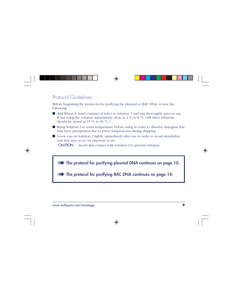## Protocol Guidelines

Before beginning the protocols for purifying the plasmid or BAC DNA, review the following:

- Add RNase A (total contents of tube) to Solution 1 and mix thoroughly prior to use. If not using the solution immediately, store at  $2^{\circ}$ C to  $8^{\circ}$ C. (All other solutions should be stored at 15 °C to 30 °C.)
- Bring Solution 2 to room temperature before using in order to dissolve detergent that may have precipitated due to lower temperatures during shipping.
- Screw cap on Solution 2 tightly immediately after use in order to avoid destabilization that may occur on exposure to air.

CAUTION: Avoid skin contact with Solution 2 to prevent irritation.

**IIII** The protocol for purifying plasmid DNA continues on page 10.

**IIII** The protocol for purifying BAC DNA continues on page 14.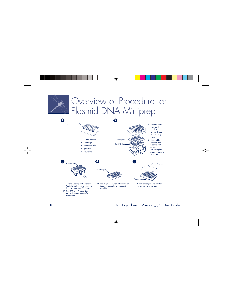

## Overview of Procedure for Plasmid DNA Miniprep

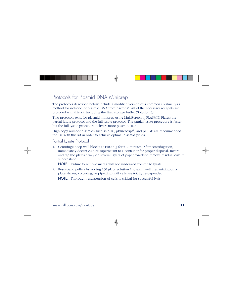## Protocols for Plasmid DNA Miniprep

The protocols described below include a modified version of a common alkaline lysis method for isolation of plasmid DNA from bacteria<sup>3</sup>. All of the necessary reagents are provided with this kit, including the final storage buffer (Solution 5).

Two protocols exist for plasmid miniprep using MultiScreen<sub>HTS</sub> PLASMID Plates: the partial lysate protocol and the full lysate protocol. The partial lysate procedure is faster but the full lysate procedure delivers more plasmid DNA.

High copy number plasmids such as pUC, pBluescript®, and pGEM<sup>4</sup> are recommended for use with this kit in order to achieve optimal plasmid yields.

#### Partial Lysate Protocol

1. Centrifuge deep well blocks at  $1500 \times g$  for 5–7 minutes. After centrifugation, immediately decant culture supernatant to a container for proper disposal. Invert and tap the plates firmly on several layers of paper towels to remove residual culture supernatant.

NOTE: Failure to remove media will add undesired volume to lysate.

2. Resuspend pellets by adding 150 µL of Solution 1 to each well then mixing on a plate shaker, vortexing, or pipetting until cells are totally resuspended.

NOTE: Thorough resuspension of cells is critical for successful lysis.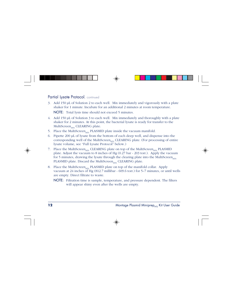#### Partial Lysate Protocol, continued

- 3. Add 150 µL of Solution 2 to each well. Mix immediately and vigorously with a plate shaker for 1 minute. Incubate for an additional 2 minutes at room temperature. NOTE: Total lysis time should not exceed 5 minutes.
- 4. Add 150 µL of Solution 3 to each well. Mix immediately and thoroughly with a plate shaker for 2 minutes. At this point, the bacterial lysate is ready for transfer to the MultiScreen<sub>HTS</sub> CLEARING plate.
- 5. Place the MultiScreen<sub>HTS</sub> PLASMID plate inside the vacuum manifold.
- 6. Pipette 200 µL of lysate from the bottom of each deep well, and dispense into the corresponding well of the MultiScreen<sub>HTS</sub> CLEARING plate. (For processing of entire lysate volume, see "Full Lysate Protocol" below.)
- 7. Place the MultiScreen<sub>HTS</sub> CLEARING plate on top of the MultiScreen<sub>HTS</sub> PLASMID plate. Adjust the vacuum to 8 inches of Hg (0.27 bar - 203 torr.). Apply the vacuum for 5 minutes, drawing the lysate through the clearing plate into the MultiScreen, $_{\text{true}}$ PLASMID plate. Discard the MultiScreen<sub>urs</sub> CLEARING plate.
- 8. Place the MultiScreen<sub>HTS</sub> PLASMID plate on top of the manifold collar. Apply vacuum at 24 inches of Hg (812.7 millibar - 609.6 torr.) for 5–7 minutes, or until wells are empty. Direct filtrate to waste.
	- NOTE: Filtration time is sample, temperature, and pressure dependent. The filters will appear shiny even after the wells are empty.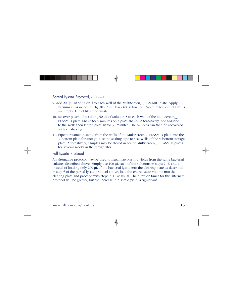#### Partial Lysate Protocol, continued

- 9. Add 200  $\mu$ L of Solution 4 to each well of the MultiScreen<sub>urs</sub> PLASMID plate. Apply vacuum at 24 inches of Hg (812.7 millibar - 609.6 torr.) for 3–5 minutes, or until wells are empty. Direct filtrate to waste.
- 10. Recover plasmid by adding 50  $\mu$ L of Solution 5 to each well of the MultiScreen<sub>urs</sub> PLASMID plate. Shake for 5 minutes on a plate shaker. Alternatively, add Solution 5 to the wells then let the plate sit for 30 minutes. The samples can then be recovered without shaking.
- 11. Pipette retained plasmid from the wells of the MultiScreen $_{\text{HTS}}$  PLASMID plate into the V-bottom plate for storage. Use the sealing tape to seal wells of the V-bottom storage plate. Alternatively, samples may be stored in sealed MultiScreen $_{\text{HTS}}$  PLASMID plates for several weeks in the refrigerator.

### Full Lysate Protocol

An alternative protocol may be used to maximize plasmid yields from the same bacterial cultures described above. Simply use 100 µL each of the solutions in steps 2, 3, and 4. Instead of loading only 200 µL of the bacterial lysate into the clearing plate as described in step 6 of the partial lysate protocol above, load the entire lysate volume into the clearing plate and proceed with steps 7–12 as usual. The filtration times for this alternate protocol will be greater, but the increase in plasmid yield is significant.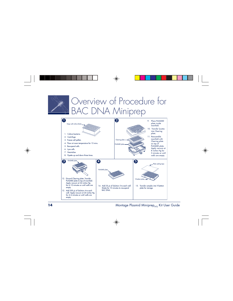#### Overview of Procedure for **BAC DNA Miniprep** O 2 9 Place PLASMID plate inside Deep well culture block  $m$ anifold 10. Transfer lysates into Clearing plate. 1. Culture bacteria. 11 Reassemble 2. Centrifuge. manifold with Clearing plate -3. Freeze cell pellets. Clearing plate 4. Thaw at room temperature for 15 mins. PLASMID plate on top of 5. Resuspend cells. PLASMID plate. Apply vacuum at 6. Lyse cells. 8 inches Ha for 7. Neutralize. 5 minutes or until 8. Pipette up and down three times. wells are empty. PLASMID plate 8 Δ 6 Plate sealing tape

PLASMID plate

14. Add 35 µL of Solution 5 to each well.

12. Discard Clearing plate. Transfer

empty.

empty.

PLASMID plate to top of manifold. Apply vacuum at 24 inches Ha for 6-10 minutes or until wells are



V-bottom pla

15. Transfer samples into V-bottom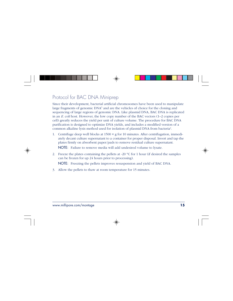## Protocol for BAC DNA Miniprep

Since their development, bacterial artificial chromosomes have been used to manipulate large fragments of genomic DNA<sup>5</sup> and are the vehicles of choice for the cloning and sequencing of large regions of genomic DNA. Like plasmid DNA, BAC DNA is replicated in an *E. coli* host. However, the low copy number of the BAC vectors (1–2 copies per cell) greatly reduces the yield per unit of culture volume. The procedure for BAC DNA purification is designed to optimize DNA yields, and includes a modified version of a common alkaline lysis method used for isolation of plasmid DNA from bacteria<sup>3</sup>.

- 1. Centrifuge deep well blocks at  $1500 \times g$  for 10 minutes. After centrifugation, immediately decant culture supernatant to a container for proper disposal. Invert and tap the plates firmly on absorbent paper/pads to remove residual culture supernatant. NOTE: Failure to remove media will add undesired volume to lysate.
- 2. Freeze the plates containing the pellets at -20  $\degree$ C for 1 hour (if desired the samples can be frozen for up 24 hours prior to processing).

NOTE: Freezing the pellets improves resuspension and yield of BAC DNA.

3. Allow the pellets to thaw at room temperature for 15 minutes.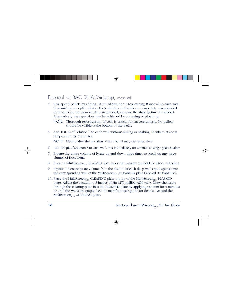## Protocol for BAC DNA Miniprep, continued

- 4. Resuspend pellets by adding 100 µL of Solution 1 (containing RNase A) to each well then mixing on a plate shaker for 5 minutes until cells are completely resuspended. If the cells are not completely resuspended, increase the shaking time as needed. Alternatively, resuspension may be achieved by vortexing or pipetting.
	- NOTE: Thorough resuspension of cells is critical for successful lysis. No pellets should be visible at the bottom of the wells.
- 5. Add 100 µL of Solution 2 to each well without mixing or shaking. Incubate at room temperature for 5 minutes.

NOTE: Mixing after the addition of Solution 2 may decrease yield.

- 6. Add 100 µL of Solution 3 to each well. Mix immediately for 2 minutes using a plate shaker.
- 7. Pipette the entire volume of lysate up and down three times to break up any large clumps of flocculent.
- 8. Place the MultiScreen<sub>try</sub> PLASMID plate inside the vacuum manifold for filtrate collection.
- 9. Pipette the entire lysate volume from the bottom of each deep well and dispense into the corresponding well of the MultiScreen<sub>UTS</sub> CLEARING plate (labeled "CLEARING").
- 10. Place the MultiScreen<sub>HTS</sub> CLEARING plate on top of the MultiScreen $_{\text{HTS}}$  PLASMID plate. Adjust the vacuum to 8 inches of Hg (270 millibar/200 torr). Draw the lysate through the clearing plate into the PLASMID plate by applying vacuum for 5 minutes or until the wells are empty. See the manifold user guide for details. Discard the MultiScreen<sub>urs</sub> CLEARING plate.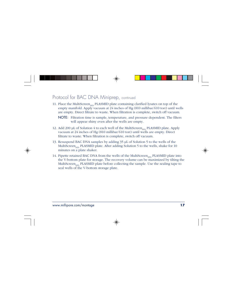## Protocol for BAC DNA Miniprep, continued

- 11. Place the MultiScreen<sub>urs</sub> PLASMID plate containing clarified lysates on top of the empty manifold. Apply vacuum at 24 inches of Hg (810 millibar/610 torr) until wells are empty. Direct filtrate to waste. When filtration is complete, switch off vacuum.
	- NOTE: Filtration time is sample, temperature, and pressure dependent. The filters will appear shiny even after the wells are empty.
- 12. Add 200 µL of Solution 4 to each well of the MultiScreen<sub>HTS</sub> PLASMID plate. Apply vacuum at 24 inches of Hg (810 millibar/610 torr) until wells are empty. Direct filtrate to waste. When filtration is complete, switch off vacuum.
- 13. Resuspend BAC DNA samples by adding 35 µL of Solution 5 to the wells of the MultiScreen<sub>urs</sub> PLASMID plate. After adding Solution 5 to the wells, shake for 10 minutes on a plate shaker.
- 14. Pipette retained BAC DNA from the wells of the MultiScreen<sub>urs</sub> PLASMID plate into the V-bottom plate for storage. The recovery volume can be maximized by tilting the MultiScreen $_{\text{trrs}}$  PLASMID plate before collecting the sample. Use the sealing tape to seal wells of the V-bottom storage plate.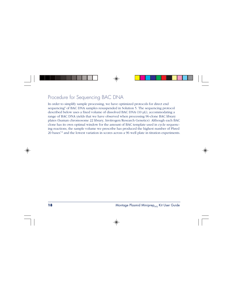## Procedure for Sequencing BAC DNA

In order to simplify sample processing, we have optimized protocols for direct end sequencing<sup>6</sup> of BAC DNA samples resuspended in Solution 5. The sequencing protocol described below uses a fixed volume of dissolved BAC DNA (10 µL), accommodating a range of BAC DNA yields that we have observed when processing 96-clone BAC library plates (human chromosome 22 library, Invitrogen/Research Genetics). Although each BAC clone has its own optimal window for the amount of BAC template used in cycle sequencing reactions, the sample volume we prescribe has produced the highest number of Phred 20 bases7,8 and the lowest variation in scores across a 96 well plate in titration experiments.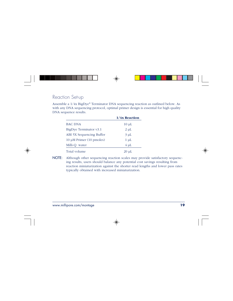## Reaction Set-up

Assemble a 1/4x BigDye® Terminator DNA sequencing reaction as outlined below. As with any DNA sequencing protocol, optimal primer design is essential for high quality DNA sequence results.

|                                         | 1/4x Reaction |
|-----------------------------------------|---------------|
| <b>BAC DNA</b>                          | $10 \mu L$    |
| BigDye Terminator v3.1                  | $2 \mu L$     |
| ABI 5X Sequencing Buffer                | $3 \mu L$     |
| $10 \mu M$ Primer $(10 \text{ pmoles})$ | $1 \mu L$     |
| Milli-Q water                           | $4 \mu L$     |
| Total volume                            | $20 \mu L$    |

NOTE: Although other sequencing reaction scales may provide satisfactory sequencing results, users should balance any potential cost savings resulting from reaction miniaturization against the shorter read lengths and lower pass rates typically obtained with increased miniaturization.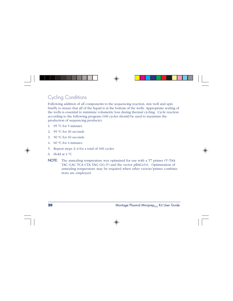## Cycling Conditions

Following addition of all components to the sequencing reaction, mix well and spin briefly to insure that all of the liquid is at the bottom of the wells. Appropriate sealing of the wells is essential to minimize volumetric loss during thermal cycling. Cycle reaction according to the following program (100 cycles should be used to maximize the production of sequencing products):

- 1. 95 °C for 5 minutes
- 2. 95 °C for 30 seconds
- 3. 50 °C for 10 seconds
- 4. 60 °C for 4 minutes
- 5. Repeat steps 2–4 for a total of 100 cycles
- 6. Hold at  $4^{\circ}$ C.
- NOTE: The annealing temperature was optimized for use with a T7 primer (5'-TAA TAC GAC TCA CTA TAG GG-3') and the vector pBACe3.6. Optimization of annealing temperature may be required when other vectors/primer combinations are employed.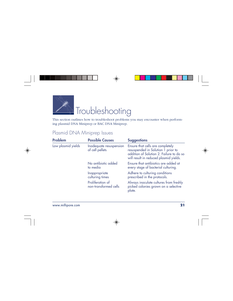

This section outlines how to troubleshoot problems you may encounter when performing plasmid DNA Miniprep or BAC DNA Miniprep.

### Plasmid DNA Miniprep Issues

| Problem            | <b>Possible Causes</b>                     | <b>Suggestions</b>                                                                                                                                           |
|--------------------|--------------------------------------------|--------------------------------------------------------------------------------------------------------------------------------------------------------------|
| Low plasmid yields | Inadequate resuspension<br>of cell pellets | Ensure that cells are completely<br>resuspended in Solution 1 prior to<br>addition of Solution 2. Failure to do so<br>will result in reduced plasmid yields. |
|                    | No antibiotic added<br>to media            | Ensure that antibiotics are added at<br>every stage of bacterial culturing.                                                                                  |
|                    | Inappropriate<br>culturing times           | Adhere to culturing conditions<br>prescribed in the protocols.                                                                                               |
|                    | Proliferation of<br>non-transformed cells  | Always inoculate cultures from freshly<br>picked colonies grown on a selective<br>plate.                                                                     |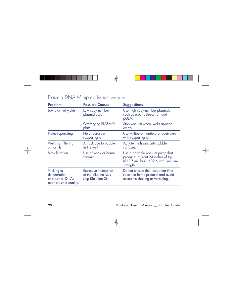### Plasmid DNA Miniprep Issues, continued

| <b>Problem</b>                                                         | <b>Possible Causes</b>                                              | <b>Suggestions</b>                                                                                                        |
|------------------------------------------------------------------------|---------------------------------------------------------------------|---------------------------------------------------------------------------------------------------------------------------|
| Low plasmid yields                                                     | Low copy number<br>plasmid used                                     | Use high copy number plasmids<br>such as pUC, pBluescript, and<br>pGEM.                                                   |
|                                                                        | Overdrying PLASMID<br>plate                                         | Stop vacuum when wells appear<br>empty.                                                                                   |
| Plates separating                                                      | No underdrain<br>support grid                                       | Use Millipore manifold or equivalent<br>with support grid.                                                                |
| Wells not filtering<br>uniformly                                       | Airlock due to bubble<br>in the well                                | Agitate the lysate until bubble<br>surfaces.                                                                              |
| Slow filtration                                                        | Use of weak or house<br>vacuum                                      | Use a portable vacuum pump that<br>produces at least 24 inches of Hg<br>(812.7 millibar - 609.6 torr.) vacuum<br>strength |
| Nicking or<br>denaturation<br>of plasmid DNA;<br>poor plasmid quality. | Excessive incubation<br>at the alkaline lysis<br>step (Solution 2). | Do not exceed the incubation time<br>specified in the protocol and avoid<br>excessive shaking or vortexing.               |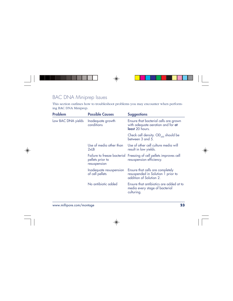## BAC DNA Miniprep Issues

This section outlines how to troubleshoot problems you may encounter when performing BAC DNA Miniprep.

| <b>Problem</b>     | <b>Possible Causes</b>                     | <b>Suggestions</b>                                                                                |
|--------------------|--------------------------------------------|---------------------------------------------------------------------------------------------------|
| Low BAC DNA yields | Inadequate growth<br>conditions            | Ensure that bacterial cells are grown<br>with adequate aeration and for at<br>least 20 hours.     |
|                    |                                            | Check cell density. $OD_{650}$ should be<br>between 3 and 5.                                      |
|                    | Use of media other than<br>2xLB            | Use of other cell culture media will<br>result in low yields.                                     |
|                    | pellets prior to<br>resuspension           | Failure to freeze bacterial Freezing of cell pellets improves cell<br>resuspension efficiency.    |
|                    | Inadequate resuspension<br>of cell pellets | Ensure that cells are completely<br>resuspended in Solution 1 prior to<br>addition of Solution 2. |
|                    | No antibiotic added                        | Ensure that antibiotics are added at to<br>media every stage of bacterial<br>culturing.           |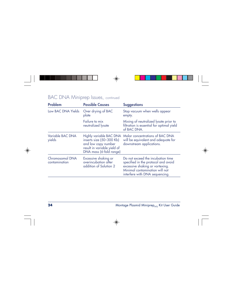### BAC DNA Miniprep Issues, continued

| <b>Problem</b>                   | <b>Possible Causes</b>                                                                                    | <b>Suggestions</b>                                                                                                                                                              |
|----------------------------------|-----------------------------------------------------------------------------------------------------------|---------------------------------------------------------------------------------------------------------------------------------------------------------------------------------|
| Low BAC DNA Yields               | Over drying of BAC<br>plate                                                                               | Stop vacuum when wells appear<br>empty.                                                                                                                                         |
|                                  | Failure to mix<br>neutralized lysate                                                                      | Mixing of neutralized lysate prior to<br>filtration is essential for optimal yield<br>of BAC DNA.                                                                               |
| Variable BAC DNA<br>yields       | inserts size (50-300 Kb)<br>and low copy number<br>result in variable yield of<br>DNA mass (6-fold range) | Highly variable BAC DNA Molar concentrations of BAC DNA<br>will be equivalent and adequate for<br>downstream applications.                                                      |
| Chromosomal DNA<br>contamination | Excessive shaking or<br>overincubation after<br>addition of Solution 2                                    | Do not exceed the incubation time<br>specified in the protocol and avoid<br>excessive shaking or vortexing.<br>Minimal contamination will not<br>interfere with DNA sequencing. |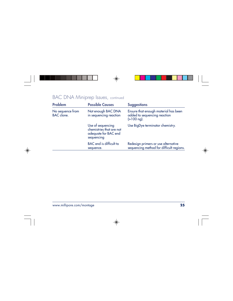### BAC DNA Miniprep Issues, continued

| Problem                               | <b>Possible Causes</b>                                                              | <b>Suggestions</b>                                                                           |
|---------------------------------------|-------------------------------------------------------------------------------------|----------------------------------------------------------------------------------------------|
| No sequence from<br><b>BAC</b> clone. | Not enough BAC DNA<br>in sequencing reaction                                        | Ensure that enough material has been<br>added to sequencing reaction<br>$(>100 \text{ ng}).$ |
|                                       | Use of sequencing<br>chemistries that are not<br>adequate for BAC end<br>sequencing | Use BigDye terminator chemistry.                                                             |
|                                       | <b>BAC</b> end is difficult to<br>sequence.                                         | Redesign primers or use alternative<br>sequencing method for difficult regions.              |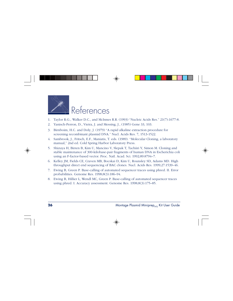

## References

- 1. Taylor R.G., Walker D.C., and McInnes R.R. (1993) "Nucleic Acids Res." 21(7):1677-8.
- 2. Yanisch-Perron, D., Vieira, J. and Messing, J., (1985) Gene 33, 103.
- 3. Birnboim, H.C. and Doly, J. (1979) "A rapid alkaline extraction procedure for screening recombinant plasmid DNA." Nucl. Acids Res. 7, 1513-1522.
- 4. Sambrook, J., Fritsch, E.F., Maniatis, T. eds. (1989). "Molecular Cloning, a laboratory manual," 2nd ed. Cold Spring Harbor Laboratory Press.
- 5. Shizuya H, Birren B, Kim U, Mancino V, Slepak T, Tachiiri Y, Simon M. Cloning and stable maintenance of 300-kilobase-pair fragments of human DNA in Escherichia coli using an F-factor-based vector. Proc. Natl. Acad. Sci. 1992;89:8794–7.
- 6. Kelley JM, Fields CE, Craven MB, Bocskai D, Kim U, Rounsley SD, Adams MD. High throughput direct end sequencing of BAC clones. Nucl. Acids Res. 1999;27:1539–46.
- 7. Ewing B, Green P. Base-calling of automated sequencer traces using phred. II. Error probabilities. Genome Res. 1998;8(3):186–94.
- 8. Ewing B, Hillier L, Wendl MC, Green P. Base-calling of automated sequencer traces using phred. I. Accuracy assessment. Genome Res. 1998;8(3):175–85.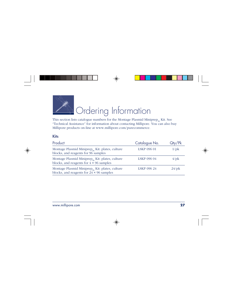

This section lists catalogue numbers for the Montage Plasmid Miniprep<sub>96</sub> Kit. See "Technical Assistance" for information about contacting Millipore. You can also buy Millipore products on-line at www.millipore.com/purecommerce.

#### **Kits**

| Product                                                                                                        | Catalogue No. | Qty/Pk   |
|----------------------------------------------------------------------------------------------------------------|---------------|----------|
| Montage Plasmid Miniprep <sub>o6</sub> Kit: plates, culture<br>blocks, and reagents for 96 samples             | LSKP 096 01   | $1$ /pk  |
| Montage Plasmid Miniprep <sub>96</sub> Kit: plates, culture<br>blocks, and reagents for $4 \times 96$ samples  | LSKP 096 04   | $4$ /pk  |
| Montage Plasmid Miniprep <sub>96</sub> Kit: plates, culture<br>blocks, and reagents for $24 \times 96$ samples | LSKP 096 24   | $24$ /pk |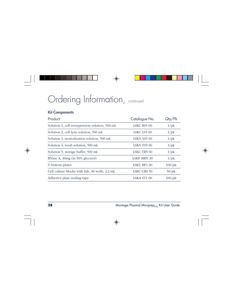# Ordering Information, continued

#### **Kit Components**

| Product                                         | Catalogue No.           | Qty/Pk          |
|-------------------------------------------------|-------------------------|-----------------|
| Solution 1, cell resuspension solution, 500 mL  | LSKC RS5 00             | $1$ /p $k$      |
| Solution 2, cell lysis solution, 500 mL         | LSKC LS5 00             | $1$ /p $k$      |
| Solution 3, neutralization solution, 500 mL     | <b>LSKN S05 00</b>      | $1$ / $pk$      |
| Solution 4, wash solution, 500 mL               | <b>LSKN F05 00</b>      | $1$ / $pk$      |
| Solution 5, storage buffer, 500 mL              | LSKC TB5 00             | $1$ /p $k$      |
| RNase A, 30mg (in 50% glycerol)                 | <b>LSKP MRN 30</b>      | $1$ / $pk$      |
| V-bottom plates                                 | LSKV BP1 00             | $100/\text{pk}$ |
| Cell culture blocks with lids, 96 wells, 2.2 mL | LSKC CB <sub>0</sub> 50 | $50$ /pk        |
| Adhesive plate sealing tape                     | LSKA ST100              | $100$ /pk       |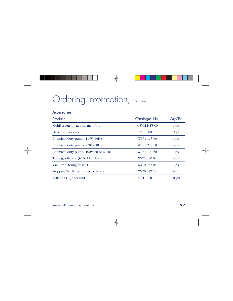# Ordering Information, continued

#### **Accessories**

| Product                                           | Catalogue No.      | Qty/Pk      |
|---------------------------------------------------|--------------------|-------------|
| MultiScreen <sub>HTS</sub> vacuum manifold        | <b>MSVM HTS 00</b> | $1$ / $pk$  |
| Stericup filter cup                               | <b>SCGV U01 RE</b> | $12$ / $pk$ |
| Chemical duty pump, 115V/60Hz                     | WP61 115 60        | $1$ /p $k$  |
| Chemical duty pump, 220V/50Hz                     | WP61 220 50        | $1$ /p $k$  |
| Chemical duty pump, $100V/50$ or 60Hz             | WP61 100 60        | $1$ /p $k$  |
| Tubing, silicone, $3/16$ " I.D., $1.4 \text{ m}$  | XX71 000 04        | $1$ /p $k$  |
| Vacuum filtering flask, 1L                        | XX10 047 05        | $1$ /p $k$  |
| Stopper, No. 8, perforated, silicone              | XX20 047 18        | $5$ /p $k$  |
| Millex <sup>®</sup> -FG <sub>50</sub> filter unit | <b>SLFG 050 10</b> | $10$ /pk    |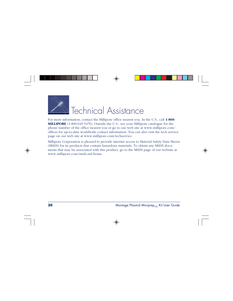

For more information, contact the Millipore office nearest you. In the U.S., call **1-800- MILLIPORE** (1-800-645-5476). Outside the U.S., see your Millipore catalogue for the phone number of the office nearest you or go to our web site at www.millipore.com/ offices for up-to-date worldwide contact information. You can also visit the tech service page on our web site at www.millipore.com/techservice.

Millipore Corporation is pleased to provide internet access to Material Safety Data Sheets (MSDS) for its products that contain hazardous materials. To obtain any MSDS documents that may be associated with this product, go to the MSDS page of our website at www.millipore.com/msds.nsf/home.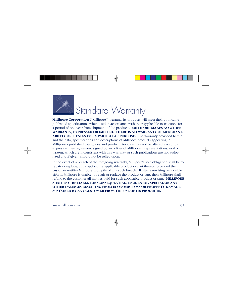

**Millipore Corporation** ("Millipore") warrants its products will meet their applicable published specifications when used in accordance with their applicable instructions for a period of one year from shipment of the products. **MILLIPORE MAKES NO OTHER WARRANTY, EXPRESSED OR IMPLIED. THERE IS NO WARRANTY OF MERCHANT-ABILITY OR FITNESS FOR A PARTICULAR PURPOSE.** The warranty provided herein and the data, specifications and descriptions of Millipore products appearing in Millipore's published catalogues and product literature may not be altered except by express written agreement signed by an officer of Millipore. Representations, oral or written, which are inconsistent with this warranty or such publications are not authorized and if given, should not be relied upon.

In the event of a breach of the foregoing warranty, Millipore's sole obligation shall be to repair or replace, at its option, the applicable product or part thereof, provided the customer notifies Millipore promptly of any such breach. If after exercising reasonable efforts, Millipore is unable to repair or replace the product or part, then Millipore shall refund to the customer all monies paid for such applicable product or part. **MILLIPORE SHALL NOT BE LIABLE FOR CONSEQUENTIAL, INCIDENTAL, SPECIAL OR ANY OTHER DAMAGES RESULTING FROM ECONOMIC LOSS OR PROPERTY DAMAGE SUSTAINED BY ANY CUSTOMER FROM THE USE OF ITS PRODUCTS.**